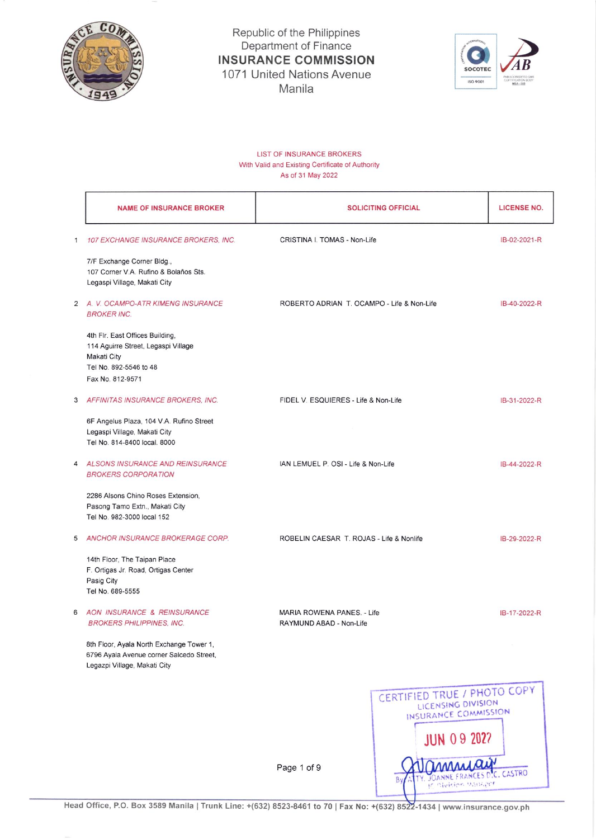

Republic of the Philippines<br>Department of Finance **INSURANCE COMMISSION** 1071 United Nations Avenue Manila



## **LIST OF INSURANCE BROKERS** With Valid and Existing Certificate of Authority As of 31 May 2022

|   | <b>NAME OF INSURANCE BROKER</b>                                                                                                     | <b>SOLICITING OFFICIAL</b>                            | <b>LICENSE NO.</b>                                                                              |  |
|---|-------------------------------------------------------------------------------------------------------------------------------------|-------------------------------------------------------|-------------------------------------------------------------------------------------------------|--|
| 1 | 107 EXCHANGE INSURANCE BROKERS, INC.                                                                                                | CRISTINA I. TOMAS - Non-Life                          | IB-02-2021-R                                                                                    |  |
|   | 7/F Exchange Corner Bldg.,<br>107 Corner V.A. Rufino & Bolaños Sts.<br>Legaspi Village, Makati City                                 |                                                       |                                                                                                 |  |
|   | 2 A. V. OCAMPO-ATR KIMENG INSURANCE<br><b>BROKER INC.</b>                                                                           | ROBERTO ADRIAN T. OCAMPO - Life & Non-Life            | IB-40-2022-R                                                                                    |  |
|   | 4th Flr. East Offices Building,<br>114 Aguirre Street, Legaspi Village<br>Makati City<br>Tel No. 892-5546 to 48<br>Fax No. 812-9571 |                                                       |                                                                                                 |  |
| 3 | AFFINITAS INSURANCE BROKERS, INC.                                                                                                   | FIDEL V. ESQUIERES - Life & Non-Life                  | IB-31-2022-R                                                                                    |  |
|   | 6F Angelus Plaza, 104 V.A. Rufino Street<br>Legaspi Village, Makati City<br>Tel No. 814-8400 local. 8000                            |                                                       |                                                                                                 |  |
| 4 | <b>ALSONS INSURANCE AND REINSURANCE</b><br><b>BROKERS CORPORATION</b>                                                               | IAN LEMUEL P. OSI - Life & Non-Life                   | IB-44-2022-R                                                                                    |  |
|   | 2286 Alsons Chino Roses Extension,<br>Pasong Tamo Extn., Makati City<br>Tel No. 982-3000 local 152                                  |                                                       |                                                                                                 |  |
| 5 | ANCHOR INSURANCE BROKERAGE CORP.                                                                                                    | ROBELIN CAESAR T. ROJAS - Life & Nonlife              | IB-29-2022-R                                                                                    |  |
|   | 14th Floor, The Taipan Place<br>F. Ortigas Jr. Road, Ortigas Center<br>Pasig City<br>Tel No. 689-5555                               |                                                       |                                                                                                 |  |
| 6 | AON INSURANCE & REINSURANCE<br><b>BROKERS PHILIPPINES, INC.</b>                                                                     | MARIA ROWENA PANES. - Life<br>RAYMUND ABAD - Non-Life | IB-17-2022-R                                                                                    |  |
|   | 8th Floor, Ayala North Exchange Tower 1,<br>6796 Ayala Avenue corner Salcedo Street,<br>Legazpi Village, Makati City                |                                                       |                                                                                                 |  |
|   |                                                                                                                                     |                                                       | CERTIFIED TRUE / PHOTO COPY<br>LICENSING DIVISION<br>INSURANCE COMMISSION<br><b>JUN 09 2027</b> |  |
|   |                                                                                                                                     | Page 1 of 9                                           | CASTRO                                                                                          |  |

Head Office, P.O. Box 3589 Manila | Trunk Line: +(632) 8523-8461 to 70 | Fax No: +(632) 8522-1434 | www.insurance.gov.ph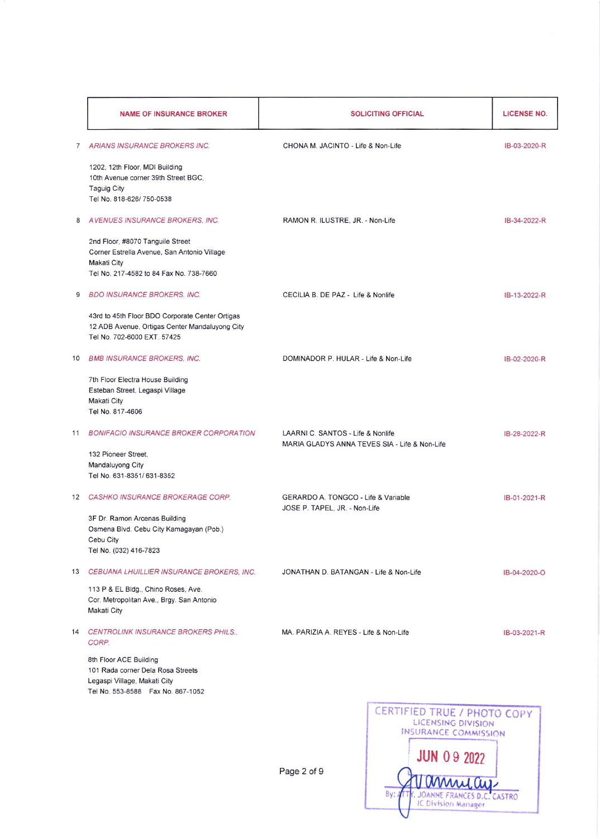|                | <b>NAME OF INSURANCE BROKER</b>                                                                                                           | <b>SOLICITING OFFICIAL</b>                                                         |                    | LICENSE NO.  |
|----------------|-------------------------------------------------------------------------------------------------------------------------------------------|------------------------------------------------------------------------------------|--------------------|--------------|
| $\overline{7}$ | ARIANS INSURANCE BROKERS INC.                                                                                                             | CHONA M. JACINTO - Life & Non-Life                                                 |                    | IB-03-2020-R |
|                | 1202, 12th Floor, MDI Building<br>10th Avenue corner 39th Street BGC,<br><b>Taguig City</b><br>Tel No. 818-626/750-0538                   |                                                                                    |                    |              |
| 8              | AVENUES INSURANCE BROKERS, INC.                                                                                                           | RAMON R. ILUSTRE, JR. - Non-Life                                                   |                    | IB-34-2022-R |
|                | 2nd Floor, #8070 Tanguile Street<br>Corner Estrella Avenue, San Antonio Village<br>Makati City<br>Tel No. 217-4582 to 84 Fax No. 738-7660 |                                                                                    |                    |              |
| 9              | <b>BDO INSURANCE BROKERS, INC.</b>                                                                                                        | CECILIA B. DE PAZ - Life & Nonlife                                                 |                    | IB-13-2022-R |
|                | 43rd to 45th Floor BDO Corporate Center Ortigas<br>12 ADB Avenue, Ortigas Center Mandaluyong City<br>Tel No. 702-6000 EXT. 57425          |                                                                                    |                    |              |
| 10             | <b>BMB INSURANCE BROKERS, INC.</b>                                                                                                        | DOMINADOR P. HULAR - Life & Non-Life                                               |                    | IB-02-2020-R |
|                | 7th Floor Electra House Building<br>Esteban Street, Legaspi Village<br><b>Makati City</b><br>Tel No. 817-4606                             |                                                                                    |                    |              |
| 11             | <b>BONIFACIO INSURANCE BROKER CORPORATION</b>                                                                                             | LAARNI C. SANTOS - Life & Nonlife<br>MARIA GLADYS ANNA TEVES SIA - Life & Non-Life |                    | IB-28-2022-R |
|                | 132 Pioneer Street,<br>Mandaluyong City<br>Tel No. 631-8351/631-8352                                                                      |                                                                                    |                    |              |
|                | 12 CASHKO INSURANCE BROKERAGE CORP.                                                                                                       | GERARDO A. TONGCO - Life & Variable<br>JOSE P. TAPEL, JR. - Non-Life               |                    | IB-01-2021-R |
|                | 3F Dr. Ramon Arcenas Building<br>Osmena Blvd. Cebu City Kamagayan (Pob.)<br>Cebu City<br>Tel No. (032) 416-7823                           |                                                                                    |                    |              |
| 13             | CEBUANA LHUILLIER INSURANCE BROKERS, INC.                                                                                                 | JONATHAN D. BATANGAN - Life & Non-Life                                             |                    | IB-04-2020-O |
|                | 113 P & EL Bldg., Chino Roses, Ave.<br>Cor. Metropolitan Ave., Brgy. San Antonio<br>Makati City                                           |                                                                                    |                    |              |
|                | 14 CENTROLINK INSURANCE BROKERS PHILS.<br>CORP.                                                                                           | MA. PARIZIA A. REYES - Life & Non-Life                                             |                    | IB-03-2021-R |
|                | 8th Floor ACE Building<br>101 Rada corner Dela Rosa Streets<br>Legaspi Village, Makati City<br>Tel No. 553-8588  Fax No. 867-1052         |                                                                                    |                    |              |
|                |                                                                                                                                           | CERTIFIED TRUE / PHOTO COPY<br>LICENSING DIVISION<br><b>INSURANCE COMMISSION</b>   |                    |              |
|                |                                                                                                                                           |                                                                                    |                    |              |
|                |                                                                                                                                           | Page 2 of 9                                                                        | <b>JUN 09 2022</b> |              |

JOANNE FRANCES D.C<br>IC Division Manager

By: ALTR. JOANNE FRANCES D.C. CASTRO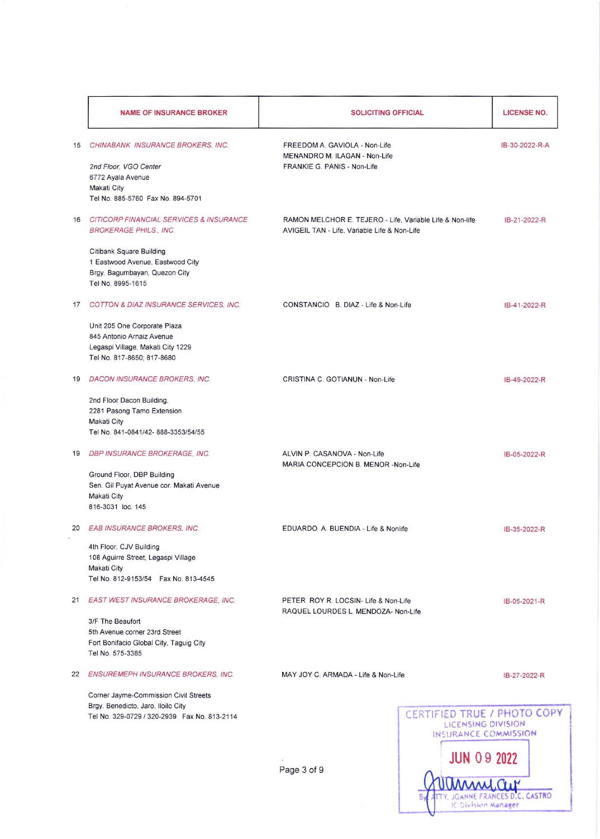|    | <b>NAME OF INSURANCE BROKER</b>                                             | <b>SOLICITING OFFICIAL</b>                                                                               |                                                   | <b>LICENSE NO.</b> |
|----|-----------------------------------------------------------------------------|----------------------------------------------------------------------------------------------------------|---------------------------------------------------|--------------------|
| 15 | CHINABANK INSURANCE BROKERS, INC.                                           | FREEDOM A. GAVIOLA - Non-Life<br>MENANDRO M. ILAGAN - Non-Life                                           |                                                   | IB-30-2022-R-A     |
|    | 2nd Floor, VGO Center                                                       | FRANKIE G. PANIS - Non-Life                                                                              |                                                   |                    |
|    | 6772 Ayala Avenue                                                           |                                                                                                          |                                                   |                    |
|    | Makati City<br>Tel No. 885-5760 Fax No. 894-5701                            |                                                                                                          |                                                   |                    |
|    |                                                                             |                                                                                                          |                                                   |                    |
|    | 16 CITICORP FINANCIAL SERVICES & INSURANCE<br><b>BROKERAGE PHILS., INC.</b> | RAMON MELCHOR E. TEJERO - Life, Variable Life & Non-life<br>AVIGEIL TAN - Life, Variable Life & Non-Life |                                                   | IB-21-2022-R       |
|    | Citibank Square Building                                                    |                                                                                                          |                                                   |                    |
|    | 1 Eastwood Avenue, Eastwood City                                            |                                                                                                          |                                                   |                    |
|    | Brgy. Bagumbayan, Quezon City                                               |                                                                                                          |                                                   |                    |
|    | Tel No. 8995-1615                                                           |                                                                                                          |                                                   |                    |
|    | 17 COTTON & DIAZ INSURANCE SERVICES. INC.                                   | CONSTANCIO B. DIAZ - Life & Non-Life                                                                     |                                                   | IB-41-2022-R       |
|    | Unit 205 One Corporate Plaza                                                |                                                                                                          |                                                   |                    |
|    | 845 Antonio Arnaiz Avenue                                                   |                                                                                                          |                                                   |                    |
|    | Legaspi Village, Makati City 1229<br>Tel No. 817-8650; 817-8680             |                                                                                                          |                                                   |                    |
|    |                                                                             |                                                                                                          |                                                   |                    |
| 19 | <b>DACON INSURANCE BROKERS, INC.</b>                                        | CRISTINA C. GOTIANUN - Non-Life                                                                          |                                                   | IB-49-2022-R       |
|    | 2nd Floor Dacon Building,                                                   |                                                                                                          |                                                   |                    |
|    | 2281 Pasong Tamo Extension<br>Makati City                                   |                                                                                                          |                                                   |                    |
|    | Tel No. 841-0841/42-888-3353/54/55                                          |                                                                                                          |                                                   |                    |
|    |                                                                             |                                                                                                          |                                                   |                    |
| 19 | DBP INSURANCE BROKERAGE, INC.                                               | ALVIN P. CASANOVA - Non-Life<br>MARIA CONCEPCION B. MENOR -Non-Life                                      |                                                   | IB-05-2022-R       |
|    | Ground Floor, DBP Building                                                  |                                                                                                          |                                                   |                    |
|    | Sen. Gil Puyat Avenue cor. Makati Avenue<br>Makati City                     |                                                                                                          |                                                   |                    |
|    | 816-3031 loc. 145                                                           |                                                                                                          |                                                   |                    |
|    |                                                                             |                                                                                                          |                                                   |                    |
| 20 | <b>EAB INSURANCE BROKERS, INC.</b>                                          | EDUARDO A. BUENDIA - Life & Nonlife                                                                      |                                                   | IB-35-2022-R       |
|    | 4th Floor, CJV Building<br>108 Aguirre Street, Legaspi Village              |                                                                                                          |                                                   |                    |
|    | Makati City                                                                 |                                                                                                          |                                                   |                    |
|    | Tel No. 812-9153/54  Fax No. 813-4545                                       |                                                                                                          |                                                   |                    |
|    | 21 EAST WEST INSURANCE BROKERAGE, INC.                                      | PETER ROY R. LOCSIN- Life & Non-Life                                                                     |                                                   | IB-05-2021-R       |
|    | 3/F The Beaufort                                                            | RAQUEL LOURDES L. MENDOZA- Non-Life                                                                      |                                                   |                    |
|    | 5th Avenue corner 23rd Street                                               |                                                                                                          |                                                   |                    |
|    | Fort Bonifacio Global City, Taguig City                                     |                                                                                                          |                                                   |                    |
|    | Tel No. 575-3385                                                            |                                                                                                          |                                                   |                    |
|    | 22 ENSUREMEPH INSURANCE BROKERS, INC.                                       | MAY JOY C. ARMADA - Life & Non-Life                                                                      |                                                   | IB-27-2022-R       |
|    | Corner Jayme-Commission Civil Streets                                       |                                                                                                          |                                                   |                    |
|    | Brgy. Benedicto, Jaro, Iloilo City                                          |                                                                                                          |                                                   |                    |
|    | Tel No. 329-0729 / 320-2939  Fax No. 813-2114                               |                                                                                                          | CERTIFIED TRUE / PHOTO COPY<br>LICENSING DIVISION |                    |
|    |                                                                             |                                                                                                          | INSURANCE COMMISSION                              |                    |
|    |                                                                             |                                                                                                          |                                                   |                    |
|    |                                                                             |                                                                                                          | <b>JUN 09 2022</b>                                |                    |
|    |                                                                             |                                                                                                          |                                                   |                    |

Page 3 of 9